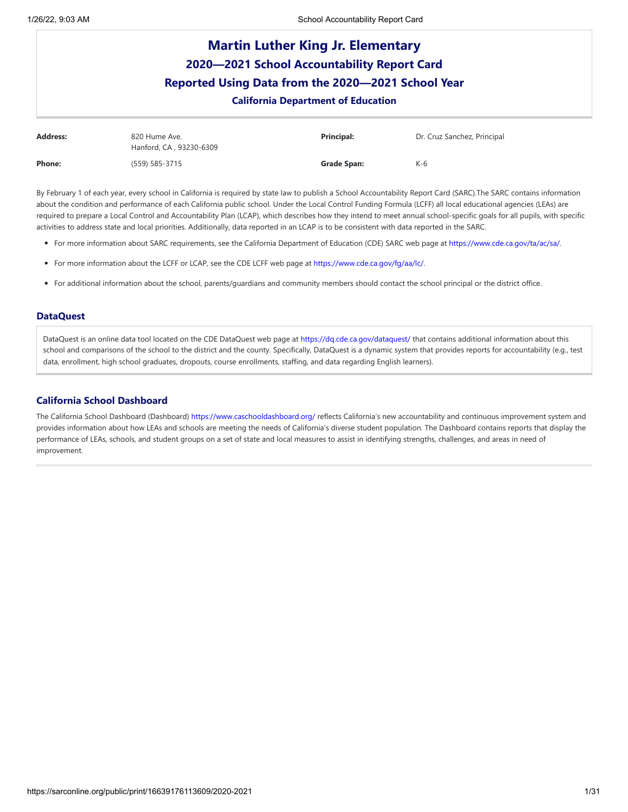| <b>Martin Luther King Jr. Elementary</b><br>2020-2021 School Accountability Report Card<br>Reported Using Data from the 2020-2021 School Year<br><b>California Department of Education</b> |                                          |                    |                             |  |  |
|--------------------------------------------------------------------------------------------------------------------------------------------------------------------------------------------|------------------------------------------|--------------------|-----------------------------|--|--|
| <b>Address:</b>                                                                                                                                                                            | 820 Hume Ave.<br>Hanford, CA, 93230-6309 | Principal:         | Dr. Cruz Sanchez, Principal |  |  |
| Phone:                                                                                                                                                                                     | (559) 585-3715                           | <b>Grade Span:</b> | $K-6$                       |  |  |

By February 1 of each year, every school in California is required by state law to publish a School Accountability Report Card (SARC).The SARC contains information about the condition and performance of each California public school. Under the Local Control Funding Formula (LCFF) all local educational agencies (LEAs) are required to prepare a Local Control and Accountability Plan (LCAP), which describes how they intend to meet annual school-specific goals for all pupils, with specific activities to address state and local priorities. Additionally, data reported in an LCAP is to be consistent with data reported in the SARC.

- For more information about SARC requirements, see the California Department of Education (CDE) SARC web page at <https://www.cde.ca.gov/ta/ac/sa/>.
- For more information about the LCFF or LCAP, see the CDE LCFF web page at <https://www.cde.ca.gov/fg/aa/lc/>.
- For additional information about the school, parents/guardians and community members should contact the school principal or the district office.

## **DataQuest**

DataQuest is an online data tool located on the CDE DataQuest web page at <https://dq.cde.ca.gov/dataquest/> that contains additional information about this school and comparisons of the school to the district and the county. Specifically, DataQuest is a dynamic system that provides reports for accountability (e.g., test data, enrollment, high school graduates, dropouts, course enrollments, staffing, and data regarding English learners).

## **California School Dashboard**

The California School Dashboard (Dashboard) <https://www.caschooldashboard.org/> reflects California's new accountability and continuous improvement system and provides information about how LEAs and schools are meeting the needs of California's diverse student population. The Dashboard contains reports that display the performance of LEAs, schools, and student groups on a set of state and local measures to assist in identifying strengths, challenges, and areas in need of improvement.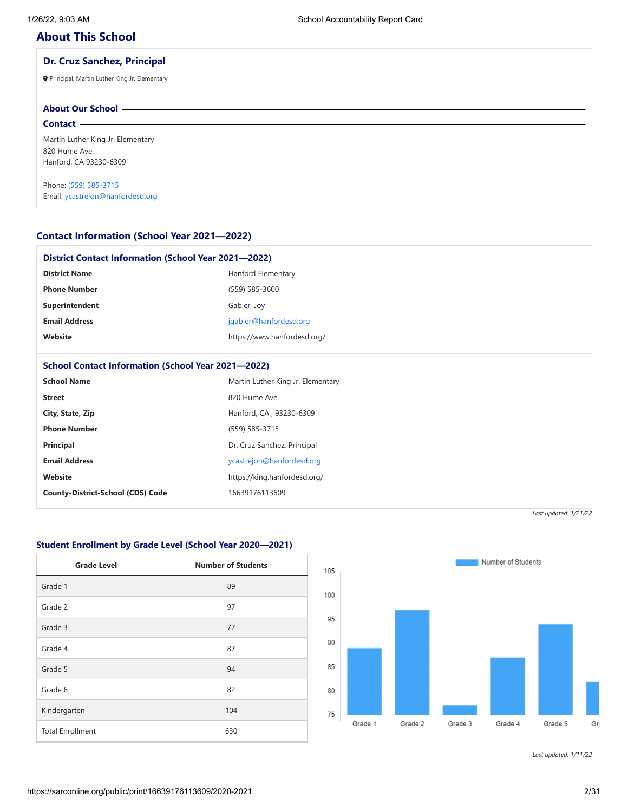# **About This School**

## **Dr. Cruz Sanchez, Principal**

Principal, Martin Luther King Jr. Elementary

# **About Our School**

**Contact**

Martin Luther King Jr. Elementary 820 Hume Ave. Hanford, CA 93230-6309

Phone: (559) [585-3715](tel:(559) 585-3715) Email: [ycastrejon@hanfordesd.org](mailto:ycastrejon@hanfordesd.org)

## **Contact Information (School Year 2021—2022)**

| <b>District Contact Information (School Year 2021-2022)</b> |                                   |  |  |  |
|-------------------------------------------------------------|-----------------------------------|--|--|--|
| <b>District Name</b>                                        | Hanford Elementary                |  |  |  |
| <b>Phone Number</b>                                         | (559) 585-3600                    |  |  |  |
| Superintendent                                              | Gabler, Joy                       |  |  |  |
| <b>Email Address</b>                                        | jgabler@hanfordesd.org            |  |  |  |
| Website                                                     | https://www.hanfordesd.org/       |  |  |  |
|                                                             |                                   |  |  |  |
| <b>School Contact Information (School Year 2021-2022)</b>   |                                   |  |  |  |
| <b>School Name</b>                                          | Martin Luther King Jr. Elementary |  |  |  |
| <b>Street</b>                                               | 820 Hume Ave.                     |  |  |  |
| City, State, Zip                                            | Hanford, CA, 93230-6309           |  |  |  |
| <b>Phone Number</b>                                         | (559) 585-3715                    |  |  |  |
| Principal                                                   | Dr. Cruz Sanchez, Principal       |  |  |  |
| <b>Email Address</b>                                        | ycastrejon@hanfordesd.org         |  |  |  |
| Website                                                     | https://king.hanfordesd.org/      |  |  |  |
| <b>County-District-School (CDS) Code</b>                    | 16639176113609                    |  |  |  |
|                                                             |                                   |  |  |  |

*Last updated: 1/21/22*

## **Student Enrollment by Grade Level (School Year 2020—2021)**

| <b>Grade Level</b>      | <b>Number of Students</b> |
|-------------------------|---------------------------|
| Grade 1                 | 89                        |
| Grade 2                 | 97                        |
| Grade 3                 | 77                        |
| Grade 4                 | 87                        |
| Grade 5                 | 94                        |
| Grade 6                 | 82                        |
| Kindergarten            | 104                       |
| <b>Total Enrollment</b> | 630                       |

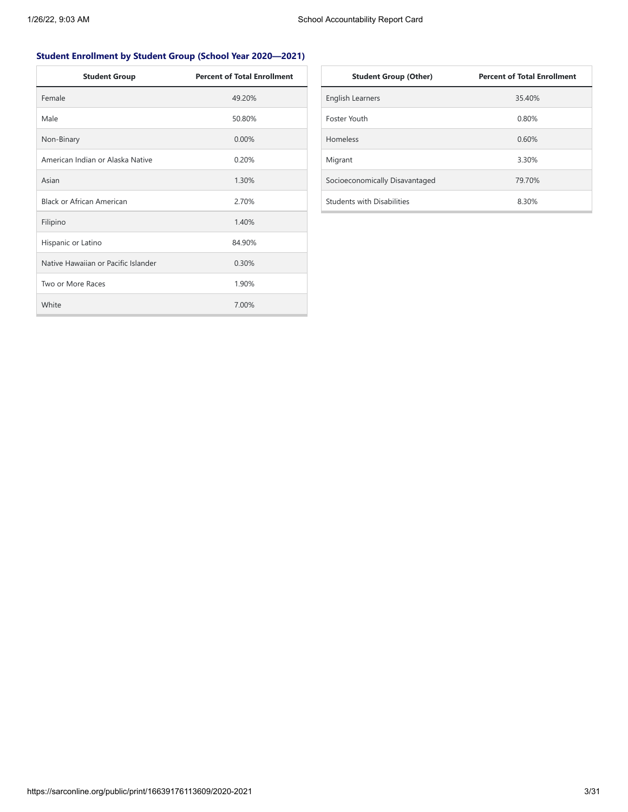# **Student Enrollment by Student Group (School Year 2020—2021)**

| <b>Student Group</b>                | <b>Percent of Total Enrollment</b> |
|-------------------------------------|------------------------------------|
| Female                              | 49.20%                             |
| Male                                | 50.80%                             |
| Non-Binary                          | $0.00\%$                           |
| American Indian or Alaska Native    | 0.20%                              |
| Asian                               | 1.30%                              |
| <b>Black or African American</b>    | 2.70%                              |
| Filipino                            | 1.40%                              |
| Hispanic or Latino                  | 84.90%                             |
| Native Hawaiian or Pacific Islander | 0.30%                              |
| Two or More Races                   | 1.90%                              |
| White                               | 7.00%                              |

| <b>Student Group (Other)</b>   | <b>Percent of Total Enrollment</b> |
|--------------------------------|------------------------------------|
| <b>English Learners</b>        | 35.40%                             |
| Foster Youth                   | 0.80%                              |
| <b>Homeless</b>                | 0.60%                              |
| Migrant                        | 3.30%                              |
| Socioeconomically Disavantaged | 79.70%                             |
| Students with Disabilities     | 8.30%                              |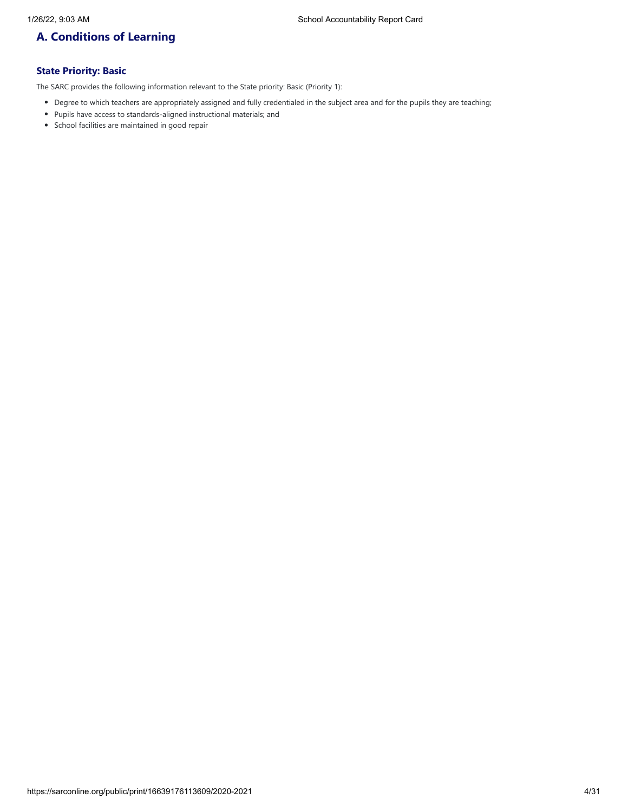# **A. Conditions of Learning**

# **State Priority: Basic**

The SARC provides the following information relevant to the State priority: Basic (Priority 1):

- Degree to which teachers are appropriately assigned and fully credentialed in the subject area and for the pupils they are teaching;
- Pupils have access to standards-aligned instructional materials; and
- School facilities are maintained in good repair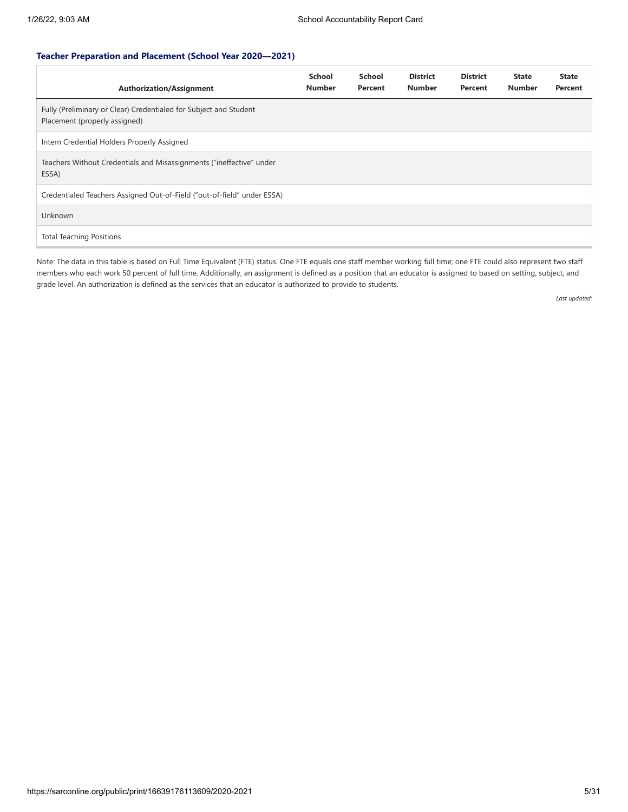## **Teacher Preparation and Placement (School Year 2020—2021)**

| <b>Authorization/Assignment</b>                                                                    | <b>School</b><br><b>Number</b> | <b>School</b><br>Percent | <b>District</b><br><b>Number</b> | <b>District</b><br>Percent | <b>State</b><br><b>Number</b> | <b>State</b><br>Percent |
|----------------------------------------------------------------------------------------------------|--------------------------------|--------------------------|----------------------------------|----------------------------|-------------------------------|-------------------------|
| Fully (Preliminary or Clear) Credentialed for Subject and Student<br>Placement (properly assigned) |                                |                          |                                  |                            |                               |                         |
| Intern Credential Holders Properly Assigned                                                        |                                |                          |                                  |                            |                               |                         |
| Teachers Without Credentials and Misassignments ("ineffective" under<br>ESSA)                      |                                |                          |                                  |                            |                               |                         |
| Credentialed Teachers Assigned Out-of-Field ("out-of-field" under ESSA)                            |                                |                          |                                  |                            |                               |                         |
| <b>Unknown</b>                                                                                     |                                |                          |                                  |                            |                               |                         |
| <b>Total Teaching Positions</b>                                                                    |                                |                          |                                  |                            |                               |                         |

Note: The data in this table is based on Full Time Equivalent (FTE) status. One FTE equals one staff member working full time; one FTE could also represent two staff members who each work 50 percent of full time. Additionally, an assignment is defined as a position that an educator is assigned to based on setting, subject, and grade level. An authorization is defined as the services that an educator is authorized to provide to students.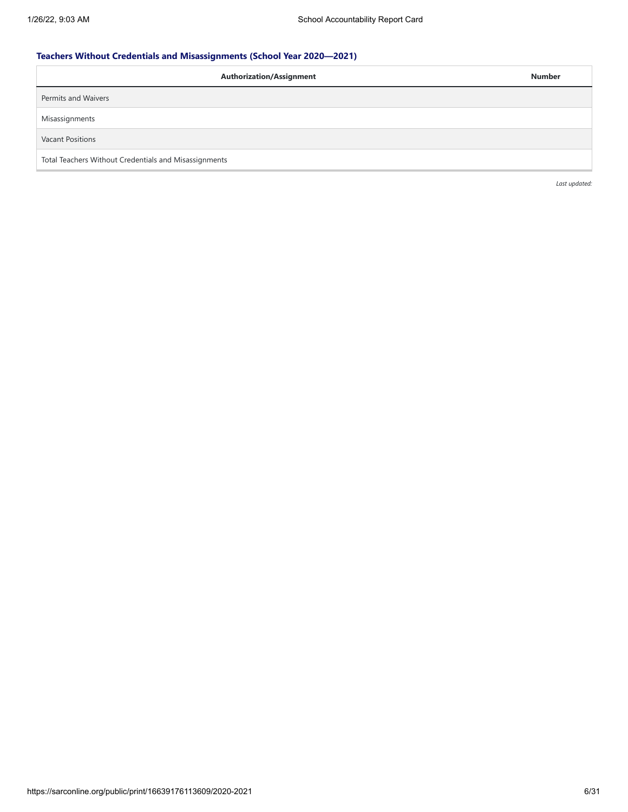# **Teachers Without Credentials and Misassignments (School Year 2020—2021)**

| <b>Authorization/Assignment</b>                       | <b>Number</b> |
|-------------------------------------------------------|---------------|
| Permits and Waivers                                   |               |
| Misassignments                                        |               |
| <b>Vacant Positions</b>                               |               |
| Total Teachers Without Credentials and Misassignments |               |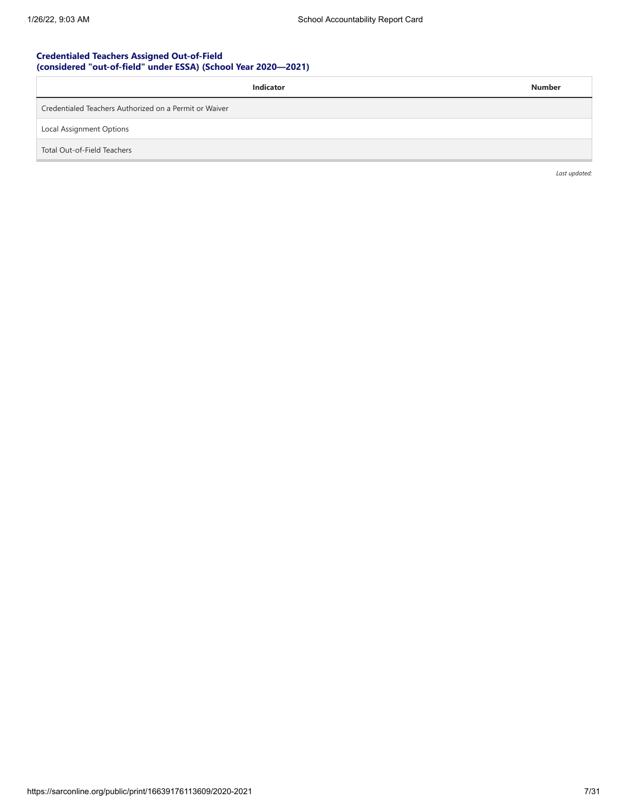## **Credentialed Teachers Assigned Out-of-Field (considered "out-of-field" under ESSA) (School Year 2020—2021)**

| <b>Indicator</b>                                       | <b>Number</b> |
|--------------------------------------------------------|---------------|
| Credentialed Teachers Authorized on a Permit or Waiver |               |
| Local Assignment Options                               |               |
| Total Out-of-Field Teachers                            |               |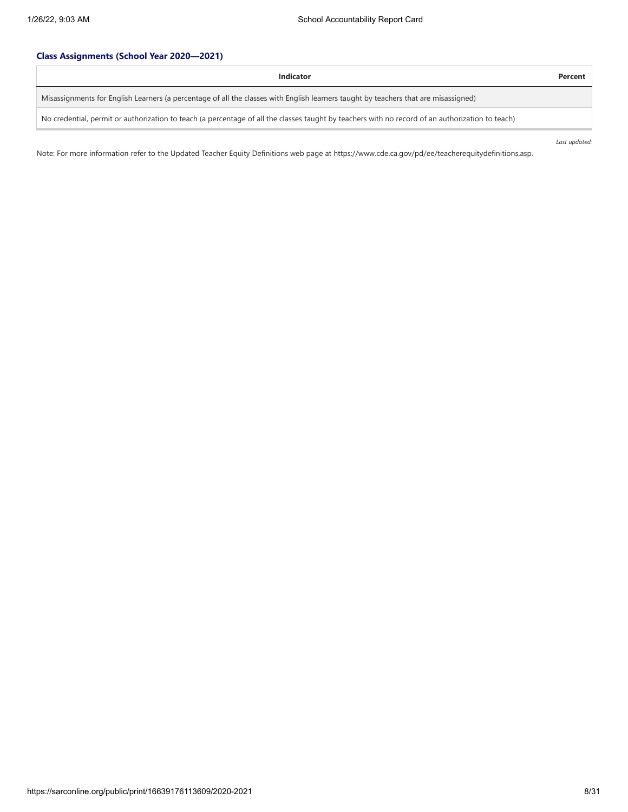# **Class Assignments (School Year 2020—2021)**

| Indicator                                                                                                                                        | Percent |
|--------------------------------------------------------------------------------------------------------------------------------------------------|---------|
| Misassignments for English Learners (a percentage of all the classes with English learners taught by teachers that are misassigned)              |         |
| No credential, permit or authorization to teach (a percentage of all the classes taught by teachers with no record of an authorization to teach) |         |

*Last updated:*

Note: For more information refer to the Updated Teacher Equity Definitions web page at https://www.cde.ca.gov/pd/ee/teacherequitydefinitions.asp.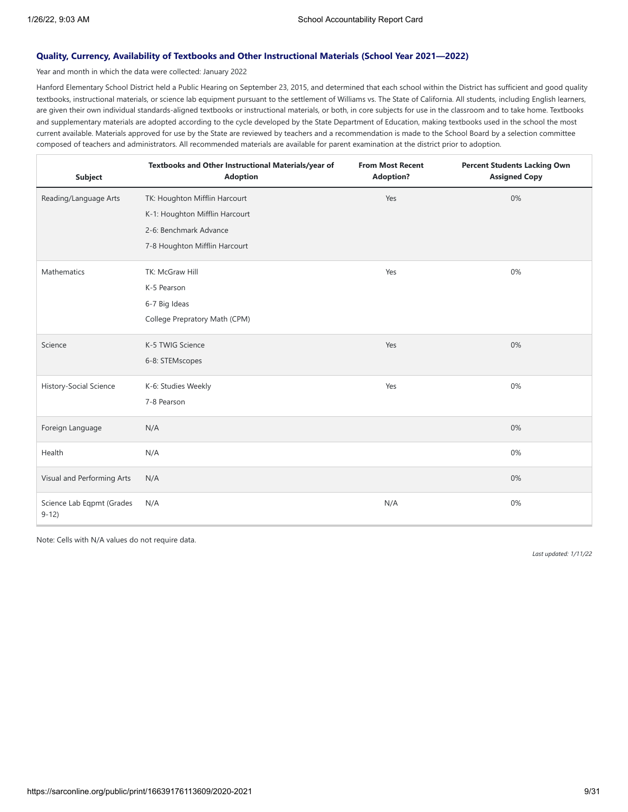## **Quality, Currency, Availability of Textbooks and Other Instructional Materials (School Year 2021—2022)**

Year and month in which the data were collected: January 2022

Hanford Elementary School District held a Public Hearing on September 23, 2015, and determined that each school within the District has sufficient and good quality textbooks, instructional materials, or science lab equipment pursuant to the settlement of Williams vs. The State of California. All students, including English learners, are given their own individual standards-aligned textbooks or instructional materials, or both, in core subjects for use in the classroom and to take home. Textbooks and supplementary materials are adopted according to the cycle developed by the State Department of Education, making textbooks used in the school the most current available. Materials approved for use by the State are reviewed by teachers and a recommendation is made to the School Board by a selection committee composed of teachers and administrators. All recommended materials are available for parent examination at the district prior to adoption.

| <b>Subject</b>                      | Textbooks and Other Instructional Materials/year of<br><b>Adoption</b> | <b>From Most Recent</b><br><b>Adoption?</b> | <b>Percent Students Lacking Own</b><br><b>Assigned Copy</b> |
|-------------------------------------|------------------------------------------------------------------------|---------------------------------------------|-------------------------------------------------------------|
| Reading/Language Arts               | TK: Houghton Mifflin Harcourt                                          | Yes                                         | 0%                                                          |
|                                     | K-1: Houghton Mifflin Harcourt                                         |                                             |                                                             |
|                                     | 2-6: Benchmark Advance                                                 |                                             |                                                             |
|                                     | 7-8 Houghton Mifflin Harcourt                                          |                                             |                                                             |
| Mathematics                         | TK: McGraw Hill                                                        | Yes                                         | 0%                                                          |
|                                     | K-5 Pearson                                                            |                                             |                                                             |
|                                     | 6-7 Big Ideas                                                          |                                             |                                                             |
|                                     | College Prepratory Math (CPM)                                          |                                             |                                                             |
| Science                             | K-5 TWIG Science                                                       | Yes                                         | 0%                                                          |
|                                     | 6-8: STEMscopes                                                        |                                             |                                                             |
| History-Social Science              | K-6: Studies Weekly                                                    | Yes                                         | 0%                                                          |
|                                     | 7-8 Pearson                                                            |                                             |                                                             |
| Foreign Language                    | N/A                                                                    |                                             | 0%                                                          |
| Health                              | N/A                                                                    |                                             | 0%                                                          |
| Visual and Performing Arts          | N/A                                                                    |                                             | 0%                                                          |
| Science Lab Eqpmt (Grades<br>$9-12$ | N/A                                                                    | N/A                                         | 0%                                                          |

Note: Cells with N/A values do not require data.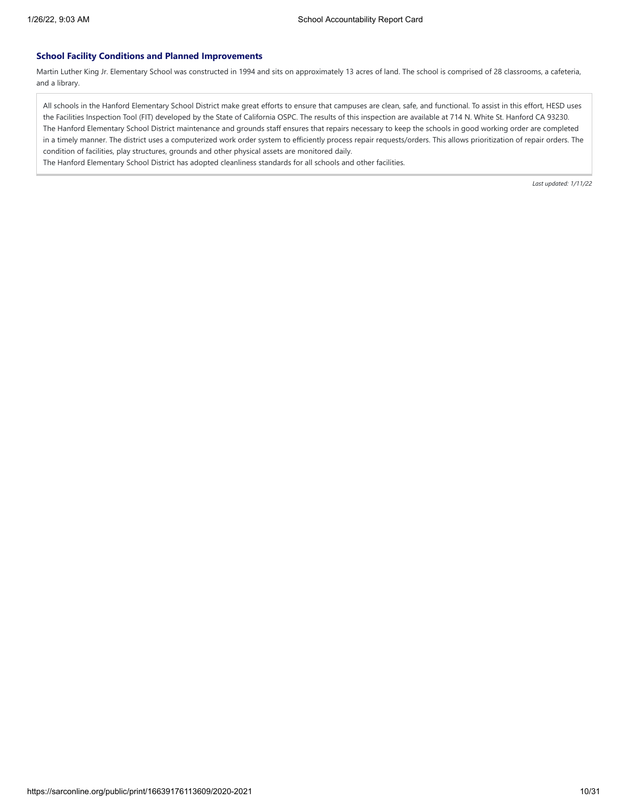#### **School Facility Conditions and Planned Improvements**

Martin Luther King Jr. Elementary School was constructed in 1994 and sits on approximately 13 acres of land. The school is comprised of 28 classrooms, a cafeteria, and a library.

All schools in the Hanford Elementary School District make great efforts to ensure that campuses are clean, safe, and functional. To assist in this effort, HESD uses the Facilities Inspection Tool (FIT) developed by the State of California OSPC. The results of this inspection are available at 714 N. White St. Hanford CA 93230. The Hanford Elementary School District maintenance and grounds staff ensures that repairs necessary to keep the schools in good working order are completed in a timely manner. The district uses a computerized work order system to efficiently process repair requests/orders. This allows prioritization of repair orders. The condition of facilities, play structures, grounds and other physical assets are monitored daily.

The Hanford Elementary School District has adopted cleanliness standards for all schools and other facilities.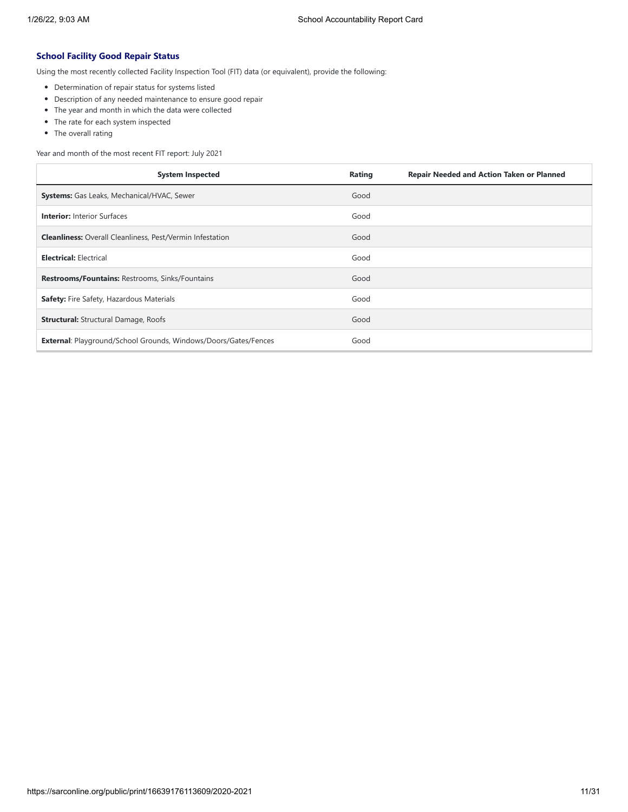## **School Facility Good Repair Status**

Using the most recently collected Facility Inspection Tool (FIT) data (or equivalent), provide the following:

- Determination of repair status for systems listed
- Description of any needed maintenance to ensure good repair
- The year and month in which the data were collected
- The rate for each system inspected
- The overall rating

Year and month of the most recent FIT report: July 2021

| <b>System Inspected</b>                                                | <b>Repair Needed and Action Taken or Planned</b><br>Rating |
|------------------------------------------------------------------------|------------------------------------------------------------|
| <b>Systems:</b> Gas Leaks, Mechanical/HVAC, Sewer                      | Good                                                       |
| <b>Interior: Interior Surfaces</b>                                     | Good                                                       |
| <b>Cleanliness:</b> Overall Cleanliness, Pest/Vermin Infestation       | Good                                                       |
| <b>Electrical: Electrical</b>                                          | Good                                                       |
| Restrooms/Fountains: Restrooms, Sinks/Fountains                        | Good                                                       |
| Safety: Fire Safety, Hazardous Materials                               | Good                                                       |
| <b>Structural:</b> Structural Damage, Roofs                            | Good                                                       |
| <b>External: Playground/School Grounds, Windows/Doors/Gates/Fences</b> | Good                                                       |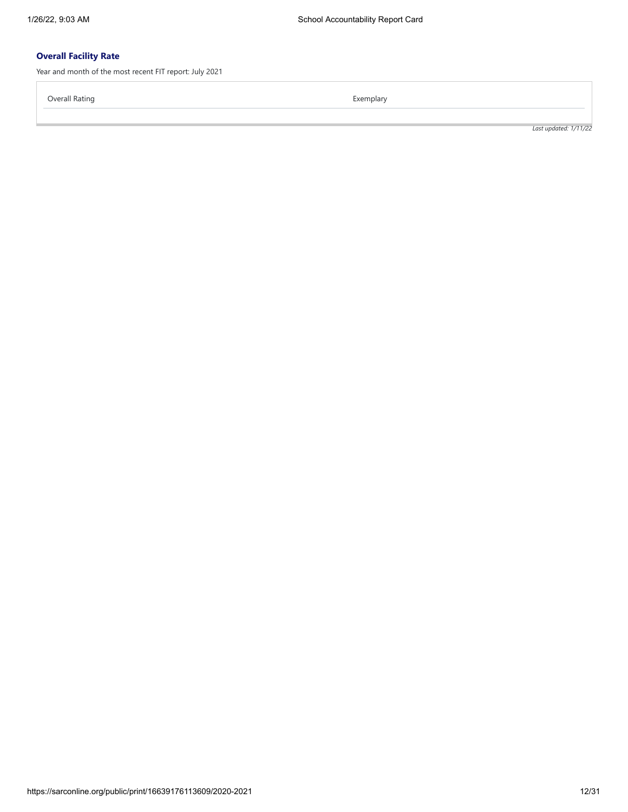# **Overall Facility Rate**

Year and month of the most recent FIT report: July 2021

Overall Rating **Exemplary** Exemplary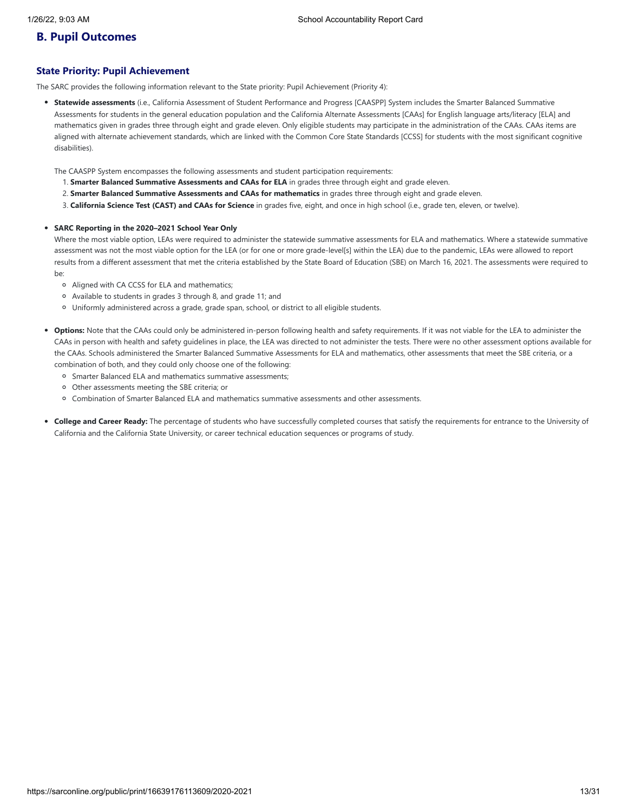# **B. Pupil Outcomes**

## **State Priority: Pupil Achievement**

The SARC provides the following information relevant to the State priority: Pupil Achievement (Priority 4):

**Statewide assessments** (i.e., California Assessment of Student Performance and Progress [CAASPP] System includes the Smarter Balanced Summative Assessments for students in the general education population and the California Alternate Assessments [CAAs] for English language arts/literacy [ELA] and mathematics given in grades three through eight and grade eleven. Only eligible students may participate in the administration of the CAAs. CAAs items are aligned with alternate achievement standards, which are linked with the Common Core State Standards [CCSS] for students with the most significant cognitive disabilities).

The CAASPP System encompasses the following assessments and student participation requirements:

- 1. **Smarter Balanced Summative Assessments and CAAs for ELA** in grades three through eight and grade eleven.
- 2. **Smarter Balanced Summative Assessments and CAAs for mathematics** in grades three through eight and grade eleven.
- 3. **California Science Test (CAST) and CAAs for Science** in grades five, eight, and once in high school (i.e., grade ten, eleven, or twelve).

#### **SARC Reporting in the 2020–2021 School Year Only**

Where the most viable option, LEAs were required to administer the statewide summative assessments for ELA and mathematics. Where a statewide summative assessment was not the most viable option for the LEA (or for one or more grade-level[s] within the LEA) due to the pandemic, LEAs were allowed to report results from a different assessment that met the criteria established by the State Board of Education (SBE) on March 16, 2021. The assessments were required to be:

- Aligned with CA CCSS for ELA and mathematics;
- Available to students in grades 3 through 8, and grade 11; and
- Uniformly administered across a grade, grade span, school, or district to all eligible students.
- **Options:** Note that the CAAs could only be administered in-person following health and safety requirements. If it was not viable for the LEA to administer the CAAs in person with health and safety guidelines in place, the LEA was directed to not administer the tests. There were no other assessment options available for the CAAs. Schools administered the Smarter Balanced Summative Assessments for ELA and mathematics, other assessments that meet the SBE criteria, or a combination of both, and they could only choose one of the following:
	- Smarter Balanced ELA and mathematics summative assessments;
	- Other assessments meeting the SBE criteria; or
	- Combination of Smarter Balanced ELA and mathematics summative assessments and other assessments.
- **College and Career Ready:** The percentage of students who have successfully completed courses that satisfy the requirements for entrance to the University of California and the California State University, or career technical education sequences or programs of study.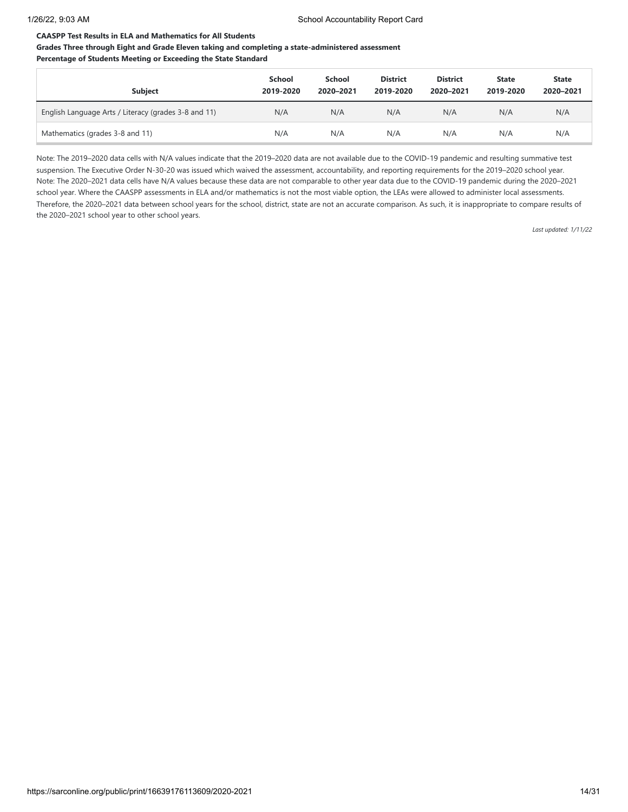## **CAASPP Test Results in ELA and Mathematics for All Students**

## **Grades Three through Eight and Grade Eleven taking and completing a state-administered assessment Percentage of Students Meeting or Exceeding the State Standard**

| <b>Subject</b>                                       | School<br>2019-2020 | School<br>2020-2021 | <b>District</b><br>2019-2020 | <b>District</b><br>2020-2021 | <b>State</b><br>2019-2020 | <b>State</b><br>2020-2021 |
|------------------------------------------------------|---------------------|---------------------|------------------------------|------------------------------|---------------------------|---------------------------|
| English Language Arts / Literacy (grades 3-8 and 11) | N/A                 | N/A                 | N/A                          | N/A                          | N/A                       | N/A                       |
| Mathematics (grades 3-8 and 11)                      | N/A                 | N/A                 | N/A                          | N/A                          | N/A                       | N/A                       |

Note: The 2019–2020 data cells with N/A values indicate that the 2019–2020 data are not available due to the COVID-19 pandemic and resulting summative test suspension. The Executive Order N-30-20 was issued which waived the assessment, accountability, and reporting requirements for the 2019–2020 school year. Note: The 2020–2021 data cells have N/A values because these data are not comparable to other year data due to the COVID-19 pandemic during the 2020–2021 school year. Where the CAASPP assessments in ELA and/or mathematics is not the most viable option, the LEAs were allowed to administer local assessments. Therefore, the 2020–2021 data between school years for the school, district, state are not an accurate comparison. As such, it is inappropriate to compare results of the 2020–2021 school year to other school years.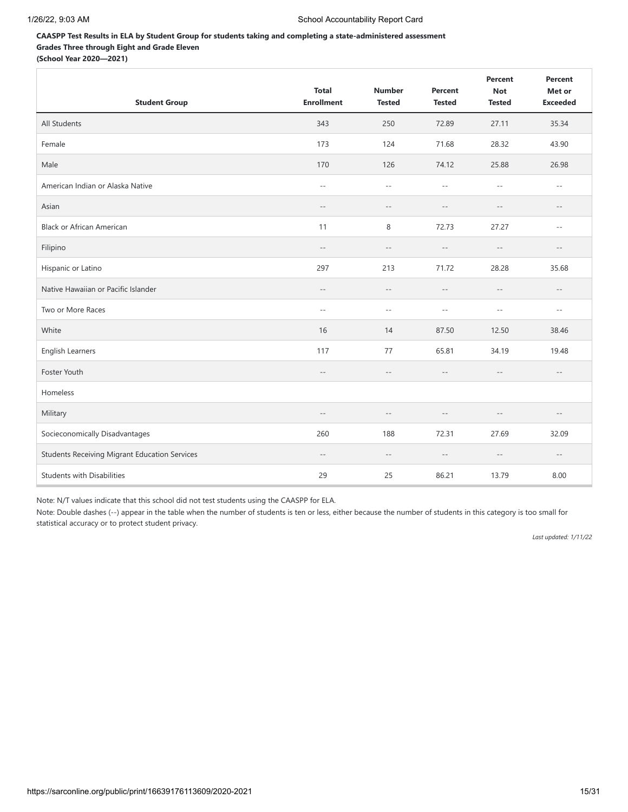## **CAASPP Test Results in ELA by Student Group for students taking and completing a state-administered assessment Grades Three through Eight and Grade Eleven (School Year 2020—2021)**

| <b>Student Group</b>                                 | <b>Total</b><br><b>Enrollment</b> | <b>Number</b><br><b>Tested</b> | Percent<br><b>Tested</b>                            | Percent<br><b>Not</b><br><b>Tested</b> | Percent<br>Met or<br><b>Exceeded</b> |
|------------------------------------------------------|-----------------------------------|--------------------------------|-----------------------------------------------------|----------------------------------------|--------------------------------------|
| All Students                                         | 343                               | 250                            | 72.89                                               | 27.11                                  | 35.34                                |
| Female                                               | 173                               | 124                            | 71.68                                               | 28.32                                  | 43.90                                |
| Male                                                 | 170                               | 126                            | 74.12                                               | 25.88                                  | 26.98                                |
| American Indian or Alaska Native                     | $-$                               | $\sim$ $\sim$                  | $\sim$ $\sim$                                       | $-$                                    | $\overline{\phantom{a}}$ .           |
| Asian                                                | $\qquad \qquad -$                 | $ -$                           | $-$                                                 | $-$                                    | $- -$                                |
| <b>Black or African American</b>                     | 11                                | 8                              | 72.73                                               | 27.27                                  | $\overline{\phantom{a}}$ .           |
| Filipino                                             | $-\,-$                            | $-\,-$                         | $-\,-$                                              | $-\,-$                                 | $\qquad \qquad -$                    |
| Hispanic or Latino                                   | 297                               | 213                            | 71.72                                               | 28.28                                  | 35.68                                |
| Native Hawaiian or Pacific Islander                  | $\overline{\phantom{m}}$          | $- -$                          | $\overline{\phantom{a}}$                            | $- -$                                  | $\overline{\phantom{a}}$ .           |
| Two or More Races                                    | $\sim$                            | $\sim$ $\sim$                  | $\sim$                                              | $-$                                    | $\overline{\phantom{a}}$ .           |
| White                                                | 16                                | 14                             | 87.50                                               | 12.50                                  | 38.46                                |
| English Learners                                     | 117                               | 77                             | 65.81                                               | 34.19                                  | 19.48                                |
| Foster Youth                                         | $-\,-$                            | $ -$                           | $\hspace{0.05cm} -\hspace{0.05cm} -\hspace{0.05cm}$ | $-\,-$                                 | $-\,-$                               |
| Homeless                                             |                                   |                                |                                                     |                                        |                                      |
| Military                                             | $-$                               | $ -$                           | $-$                                                 | $-\,-$                                 | $-\,-$                               |
| Socieconomically Disadvantages                       | 260                               | 188                            | 72.31                                               | 27.69                                  | 32.09                                |
| <b>Students Receiving Migrant Education Services</b> | $ -$                              | $-\,-$                         | $\overline{\phantom{a}}$                            | $-\,-$                                 | $-\,-$                               |
| <b>Students with Disabilities</b>                    | 29                                | 25                             | 86.21                                               | 13.79                                  | 8.00                                 |

Note: N/T values indicate that this school did not test students using the CAASPP for ELA.

Note: Double dashes (--) appear in the table when the number of students is ten or less, either because the number of students in this category is too small for statistical accuracy or to protect student privacy.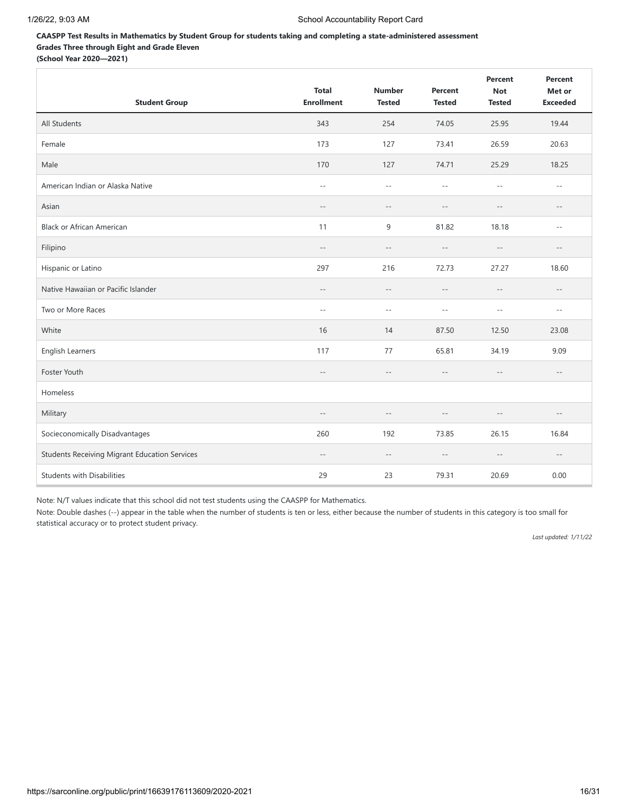# **CAASPP Test Results in Mathematics by Student Group for students taking and completing a state-administered assessment Grades Three through Eight and Grade Eleven**

**(School Year 2020—2021)**

| <b>Student Group</b>                                 | <b>Total</b><br><b>Enrollment</b> | <b>Number</b><br><b>Tested</b>                      | Percent<br><b>Tested</b>                      | Percent<br><b>Not</b><br><b>Tested</b> | Percent<br>Met or<br><b>Exceeded</b> |
|------------------------------------------------------|-----------------------------------|-----------------------------------------------------|-----------------------------------------------|----------------------------------------|--------------------------------------|
| All Students                                         | 343                               | 254                                                 | 74.05                                         | 25.95                                  | 19.44                                |
| Female                                               | 173                               | 127                                                 | 73.41                                         | 26.59                                  | 20.63                                |
| Male                                                 | 170                               | 127                                                 | 74.71                                         | 25.29                                  | 18.25                                |
| American Indian or Alaska Native                     | $\overline{\phantom{m}}$          | $\sim$ $-$                                          | $\mathord{\hspace{1pt}\text{--}\hspace{1pt}}$ | $- -$                                  | $ -$                                 |
| Asian                                                | $\overline{\phantom{m}}$ .        | $-\,-$                                              | $\overline{\phantom{m}}$ .                    | $\qquad \qquad -$                      | $-\,-$                               |
| <b>Black or African American</b>                     | 11                                | 9                                                   | 81.82                                         | 18.18                                  | $ -$                                 |
| Filipino                                             | $\qquad \qquad -$                 | $\overline{\phantom{a}}$                            | $-\,-$                                        | $-$                                    | $-\,-$                               |
| Hispanic or Latino                                   | 297                               | 216                                                 | 72.73                                         | 27.27                                  | 18.60                                |
| Native Hawaiian or Pacific Islander                  | $\overline{\phantom{m}}$          | $\hspace{0.05cm} -\hspace{0.05cm} -\hspace{0.05cm}$ | $-\,-$                                        | $\qquad \qquad -$                      | $-\,-$                               |
| Two or More Races                                    | $\sim$ $\sim$                     | $\overline{\phantom{a}}$ .                          | $-$                                           | $-$                                    | $-$                                  |
| White                                                | 16                                | 14                                                  | 87.50                                         | 12.50                                  | 23.08                                |
| English Learners                                     | 117                               | 77                                                  | 65.81                                         | 34.19                                  | 9.09                                 |
| Foster Youth                                         | $-\,-$                            | $ -$                                                | $-\,-$                                        | $-\,-$                                 | $-\,-$                               |
| Homeless                                             |                                   |                                                     |                                               |                                        |                                      |
| Military                                             | $-$                               | $- -$                                               | $-$                                           | $-$                                    | $- -$                                |
| Socieconomically Disadvantages                       | 260                               | 192                                                 | 73.85                                         | 26.15                                  | 16.84                                |
| <b>Students Receiving Migrant Education Services</b> | $-\,-$                            | $-\,-$                                              | $-$                                           | $\qquad \qquad -$                      | $\overline{\phantom{a}}$             |
| <b>Students with Disabilities</b>                    | 29                                | 23                                                  | 79.31                                         | 20.69                                  | 0.00                                 |

Note: N/T values indicate that this school did not test students using the CAASPP for Mathematics.

Note: Double dashes (--) appear in the table when the number of students is ten or less, either because the number of students in this category is too small for statistical accuracy or to protect student privacy.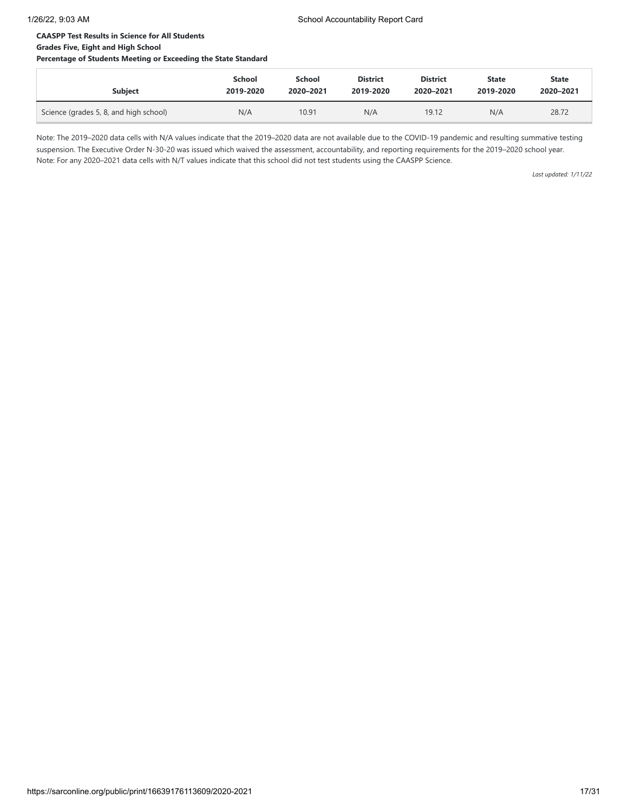# **CAASPP Test Results in Science for All Students**

# **Grades Five, Eight and High School**

**Percentage of Students Meeting or Exceeding the State Standard**

| <b>Subject</b>                         | <b>School</b> | School    | <b>District</b> | <b>District</b> | <b>State</b> | <b>State</b> |
|----------------------------------------|---------------|-----------|-----------------|-----------------|--------------|--------------|
|                                        | 2019-2020     | 2020-2021 | 2019-2020       | 2020-2021       | 2019-2020    | 2020-2021    |
| Science (grades 5, 8, and high school) | N/A           | 10.91     | N/A             | 19.12           | N/A          | 28.72        |

Note: The 2019–2020 data cells with N/A values indicate that the 2019–2020 data are not available due to the COVID-19 pandemic and resulting summative testing suspension. The Executive Order N-30-20 was issued which waived the assessment, accountability, and reporting requirements for the 2019–2020 school year. Note: For any 2020–2021 data cells with N/T values indicate that this school did not test students using the CAASPP Science.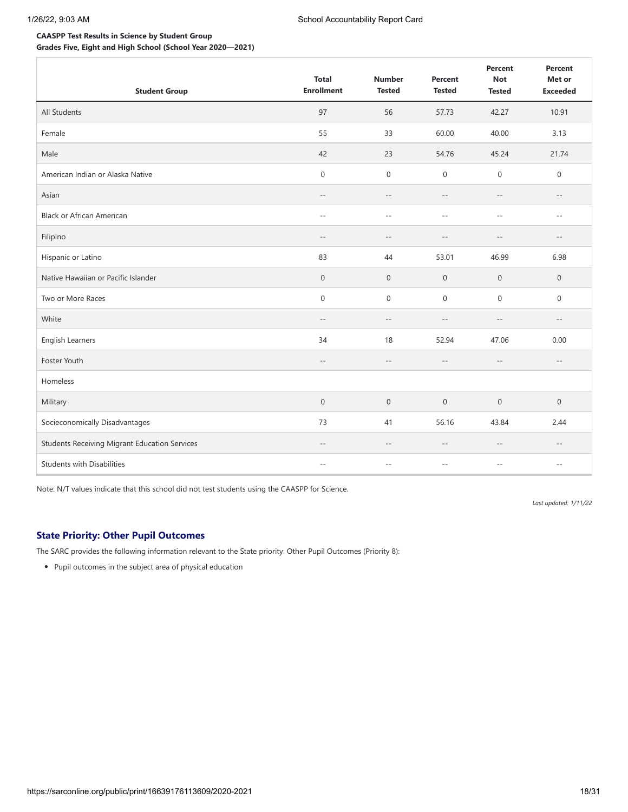# **CAASPP Test Results in Science by Student Group**

**Grades Five, Eight and High School (School Year 2020—2021)**

| <b>Student Group</b>                                 | <b>Total</b><br><b>Enrollment</b> | <b>Number</b><br><b>Tested</b> | Percent<br><b>Tested</b>   | Percent<br><b>Not</b><br><b>Tested</b> | Percent<br>Met or<br><b>Exceeded</b> |
|------------------------------------------------------|-----------------------------------|--------------------------------|----------------------------|----------------------------------------|--------------------------------------|
| All Students                                         | 97                                | 56                             | 57.73                      | 42.27                                  | 10.91                                |
| Female                                               | 55                                | 33                             | 60.00                      | 40.00                                  | 3.13                                 |
| Male                                                 | 42                                | 23                             | 54.76                      | 45.24                                  | 21.74                                |
| American Indian or Alaska Native                     | $\mathbf 0$                       | $\mathbf 0$                    | $\mathbf 0$                | $\boldsymbol{0}$                       | $\mathbf 0$                          |
| Asian                                                | $-\,-$                            | $-\,-$                         | $\overline{\phantom{a}}$ . | $\qquad \qquad -$                      | $-\,-$                               |
| <b>Black or African American</b>                     | $-$                               | $\overline{\phantom{m}}$ .     | $-$                        | $-$                                    | $- -$                                |
| Filipino                                             | $-$                               | $-\,-$                         |                            | $-$                                    | $\overline{\phantom{a}}$ .           |
| Hispanic or Latino                                   | 83                                | 44                             | 53.01                      | 46.99                                  | 6.98                                 |
| Native Hawaiian or Pacific Islander                  | $\mathbf 0$                       | $\mathbf 0$                    | $\mathbf 0$                | $\mathbf 0$                            | $\mathbf 0$                          |
| Two or More Races                                    | $\mathbf 0$                       | $\boldsymbol{0}$               | $\mathbf 0$                | $\boldsymbol{0}$                       | 0                                    |
| White                                                | $-$                               | $\overline{\phantom{m}}$       | $- -$                      | $-$                                    | $\overline{\phantom{a}}$ .           |
| English Learners                                     | 34                                | 18                             | 52.94                      | 47.06                                  | 0.00                                 |
| Foster Youth                                         | $-\,-$                            | $-\,-$                         | $-\,-$                     | $\qquad \qquad -$                      | $\qquad \qquad -$                    |
| Homeless                                             |                                   |                                |                            |                                        |                                      |
| Military                                             | $\mathbf 0$                       | $\mathbf 0$                    | $\mathsf{O}\xspace$        | $\mathbf 0$                            | $\boldsymbol{0}$                     |
| Socieconomically Disadvantages                       | 73                                | 41                             | 56.16                      | 43.84                                  | 2.44                                 |
| <b>Students Receiving Migrant Education Services</b> | $\overline{\phantom{m}}$ .        | $-\,-$                         | $-\,-$                     | $-$                                    | $- -$                                |
| <b>Students with Disabilities</b>                    | $\overline{a}$                    | $ -$                           | $-1$                       | $\overline{a}$                         | $- -$                                |

Note: N/T values indicate that this school did not test students using the CAASPP for Science.

*Last updated: 1/11/22*

## **State Priority: Other Pupil Outcomes**

The SARC provides the following information relevant to the State priority: Other Pupil Outcomes (Priority 8):

Pupil outcomes in the subject area of physical education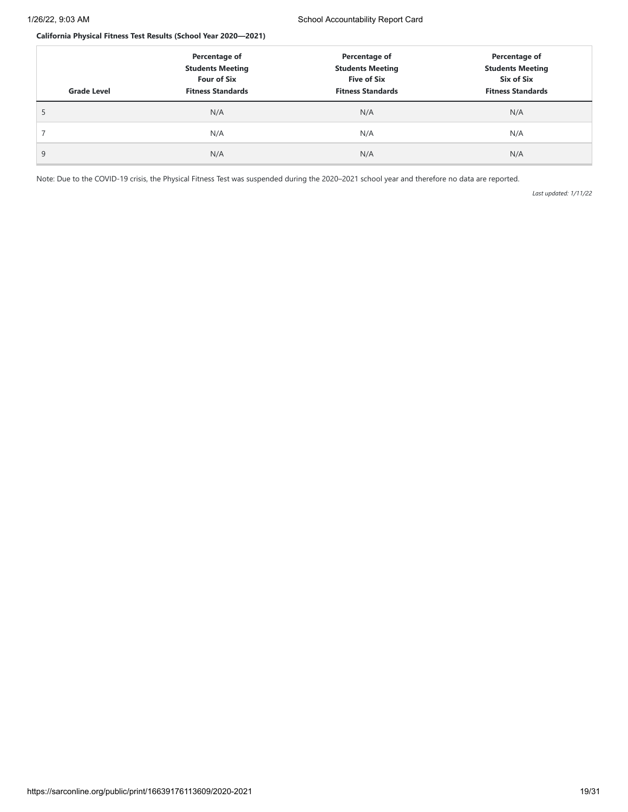## **California Physical Fitness Test Results (School Year 2020—2021)**

| <b>Grade Level</b> | Percentage of<br><b>Students Meeting</b><br><b>Four of Six</b><br><b>Fitness Standards</b> | Percentage of<br><b>Students Meeting</b><br><b>Five of Six</b><br><b>Fitness Standards</b> | Percentage of<br><b>Students Meeting</b><br>Six of Six<br><b>Fitness Standards</b> |
|--------------------|--------------------------------------------------------------------------------------------|--------------------------------------------------------------------------------------------|------------------------------------------------------------------------------------|
|                    | N/A                                                                                        | N/A                                                                                        | N/A                                                                                |
|                    | N/A                                                                                        | N/A                                                                                        | N/A                                                                                |
| 9                  | N/A                                                                                        | N/A                                                                                        | N/A                                                                                |

Note: Due to the COVID-19 crisis, the Physical Fitness Test was suspended during the 2020–2021 school year and therefore no data are reported.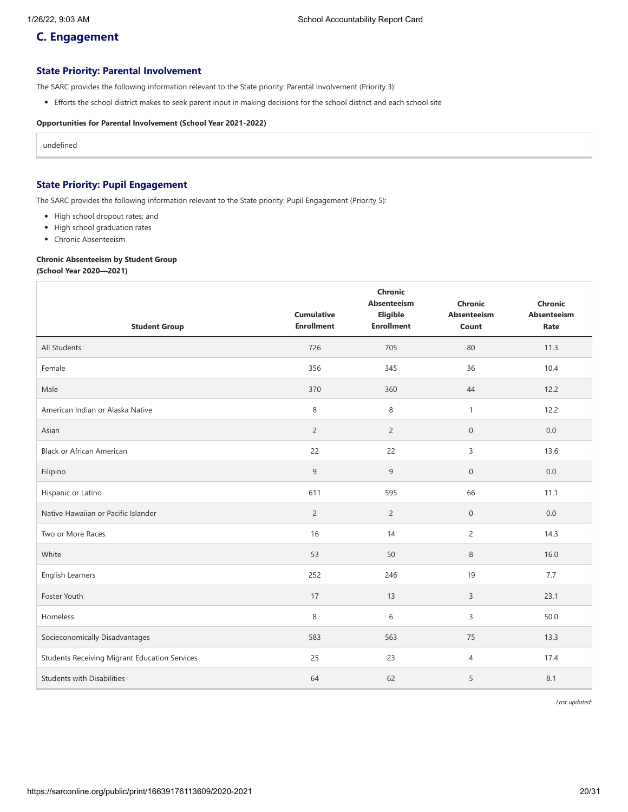# **C. Engagement**

## **State Priority: Parental Involvement**

The SARC provides the following information relevant to the State priority: Parental Involvement (Priority 3):

Efforts the school district makes to seek parent input in making decisions for the school district and each school site

## **Opportunities for Parental Involvement (School Year 2021-2022)**

undefined

# **State Priority: Pupil Engagement**

The SARC provides the following information relevant to the State priority: Pupil Engagement (Priority 5):

- High school dropout rates; and
- High school graduation rates
- Chronic Absenteeism

## **Chronic Absenteeism by Student Group**

**(School Year 2020—2021)**

| <b>Student Group</b>                                 | <b>Cumulative</b><br><b>Enrollment</b> | Chronic<br><b>Absenteeism</b><br>Eligible<br><b>Enrollment</b> | <b>Chronic</b><br>Absenteeism<br>Count | <b>Chronic</b><br><b>Absenteeism</b><br>Rate |
|------------------------------------------------------|----------------------------------------|----------------------------------------------------------------|----------------------------------------|----------------------------------------------|
| <b>All Students</b>                                  | 726                                    | 705                                                            | 80                                     | 11.3                                         |
| Female                                               | 356                                    | 345                                                            | 36                                     | 10.4                                         |
| Male                                                 | 370                                    | 360                                                            | 44                                     | 12.2                                         |
| American Indian or Alaska Native                     | 8                                      | 8                                                              | $\mathbf{1}$                           | 12.2                                         |
| Asian                                                | $\overline{2}$                         | $\overline{c}$                                                 | $\mathbf 0$                            | 0.0                                          |
| <b>Black or African American</b>                     | 22                                     | 22                                                             | 3                                      | 13.6                                         |
| Filipino                                             | 9                                      | 9                                                              | $\mathbf 0$                            | 0.0                                          |
| Hispanic or Latino                                   | 611                                    | 595                                                            | 66                                     | 11.1                                         |
| Native Hawaiian or Pacific Islander                  | $\overline{2}$                         | $\overline{2}$                                                 | $\mathsf{O}\xspace$                    | 0.0                                          |
| Two or More Races                                    | 16                                     | 14                                                             | $\overline{c}$                         | 14.3                                         |
| White                                                | 53                                     | 50                                                             | 8                                      | 16.0                                         |
| English Learners                                     | 252                                    | 246                                                            | 19                                     | 7.7                                          |
| Foster Youth                                         | 17                                     | 13                                                             | 3                                      | 23.1                                         |
| Homeless                                             | 8                                      | 6                                                              | 3                                      | 50.0                                         |
| Socieconomically Disadvantages                       | 583                                    | 563                                                            | 75                                     | 13.3                                         |
| <b>Students Receiving Migrant Education Services</b> | 25                                     | 23                                                             | 4                                      | 17.4                                         |
| <b>Students with Disabilities</b>                    | 64                                     | 62                                                             | 5                                      | 8.1                                          |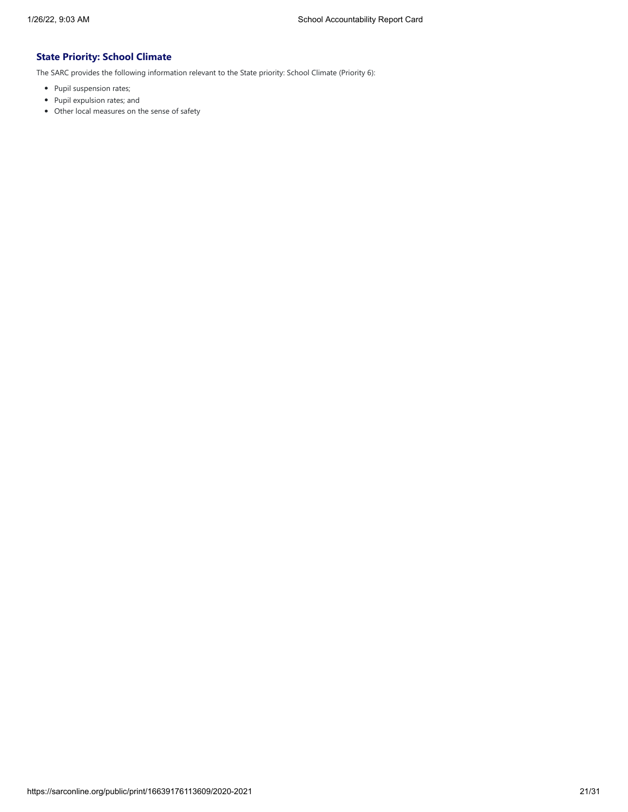# **State Priority: School Climate**

The SARC provides the following information relevant to the State priority: School Climate (Priority 6):

- Pupil suspension rates;
- Pupil expulsion rates; and
- Other local measures on the sense of safety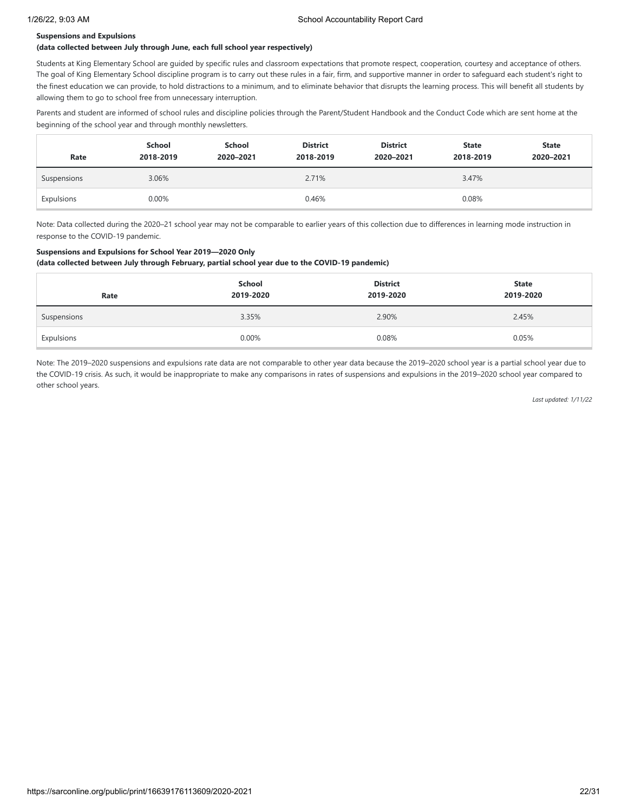#### **Suspensions and Expulsions**

#### **(data collected between July through June, each full school year respectively)**

Students at King Elementary School are guided by specific rules and classroom expectations that promote respect, cooperation, courtesy and acceptance of others. The goal of King Elementary School discipline program is to carry out these rules in a fair, firm, and supportive manner in order to safeguard each student's right to the finest education we can provide, to hold distractions to a minimum, and to eliminate behavior that disrupts the learning process. This will benefit all students by allowing them to go to school free from unnecessary interruption.

Parents and student are informed of school rules and discipline policies through the Parent/Student Handbook and the Conduct Code which are sent home at the beginning of the school year and through monthly newsletters.

| Rate        | School<br>2018-2019 | School<br>2020-2021 | <b>District</b><br>2018-2019 | <b>District</b><br>2020-2021 | <b>State</b><br>2018-2019 | <b>State</b><br>2020-2021 |
|-------------|---------------------|---------------------|------------------------------|------------------------------|---------------------------|---------------------------|
| Suspensions | 3.06%               |                     | 2.71%                        |                              | 3.47%                     |                           |
| Expulsions  | 0.00%               |                     | 0.46%                        | 0.08%                        |                           |                           |

Note: Data collected during the 2020–21 school year may not be comparable to earlier years of this collection due to differences in learning mode instruction in response to the COVID-19 pandemic.

## **Suspensions and Expulsions for School Year 2019—2020 Only**

**(data collected between July through February, partial school year due to the COVID-19 pandemic)**

| Rate        | School<br>2019-2020 | <b>District</b><br>2019-2020 | <b>State</b><br>2019-2020 |
|-------------|---------------------|------------------------------|---------------------------|
| Suspensions | 3.35%               | 2.90%                        | 2.45%                     |
| Expulsions  | 0.00%               | 0.08%                        | 0.05%                     |

Note: The 2019–2020 suspensions and expulsions rate data are not comparable to other year data because the 2019–2020 school year is a partial school year due to the COVID-19 crisis. As such, it would be inappropriate to make any comparisons in rates of suspensions and expulsions in the 2019–2020 school year compared to other school years.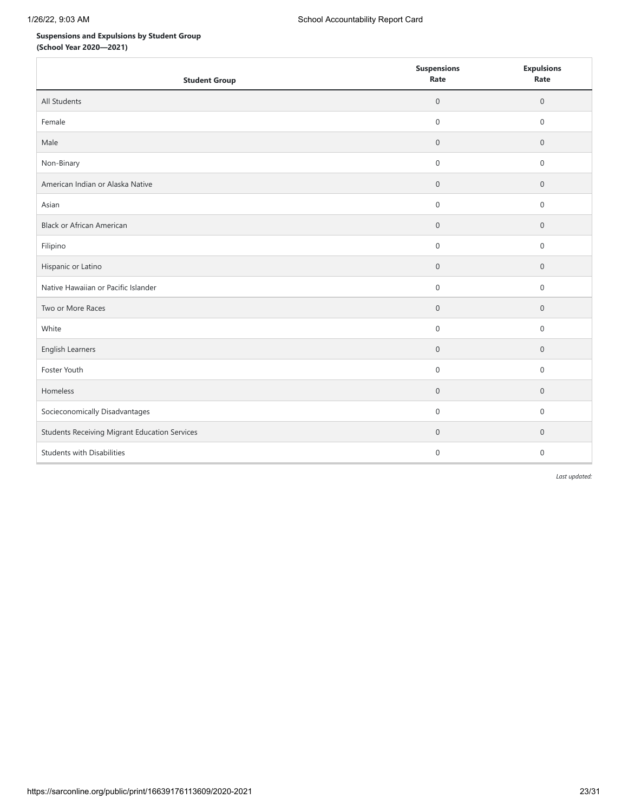# **Suspensions and Expulsions by Student Group**

**(School Year 2020—2021)**

| <b>Student Group</b>                                 | <b>Suspensions</b><br>Rate | <b>Expulsions</b><br>Rate |
|------------------------------------------------------|----------------------------|---------------------------|
| All Students                                         | $\mathbf 0$                | $\mathbf 0$               |
| Female                                               | $\mathbf 0$                | $\mathbf{0}$              |
| Male                                                 | $\mathbf 0$                | $\mathbf 0$               |
| Non-Binary                                           | $\mathsf{O}\xspace$        | $\mathsf{O}\xspace$       |
| American Indian or Alaska Native                     | $\mathbf 0$                | $\mathbf 0$               |
| Asian                                                | 0                          | $\mathbf 0$               |
| <b>Black or African American</b>                     | $\mathbf 0$                | $\mathbf 0$               |
| Filipino                                             | $\mathsf{O}\xspace$        | $\mathbf 0$               |
| Hispanic or Latino                                   | $\boldsymbol{0}$           | $\mathbf 0$               |
| Native Hawaiian or Pacific Islander                  | $\mathbf 0$                | $\boldsymbol{0}$          |
| Two or More Races                                    | $\boldsymbol{0}$           | $\mathbf 0$               |
| White                                                | $\boldsymbol{0}$           | $\mathbf 0$               |
| English Learners                                     | $\boldsymbol{0}$           | $\mathbf 0$               |
| Foster Youth                                         | 0                          | 0                         |
| Homeless                                             | $\boldsymbol{0}$           | $\mathbf 0$               |
| Socieconomically Disadvantages                       | 0                          | $\mathbf 0$               |
| <b>Students Receiving Migrant Education Services</b> | $\mathbf 0$                | $\mathbf 0$               |
| <b>Students with Disabilities</b>                    | $\mathbf 0$                | $\mathbf 0$               |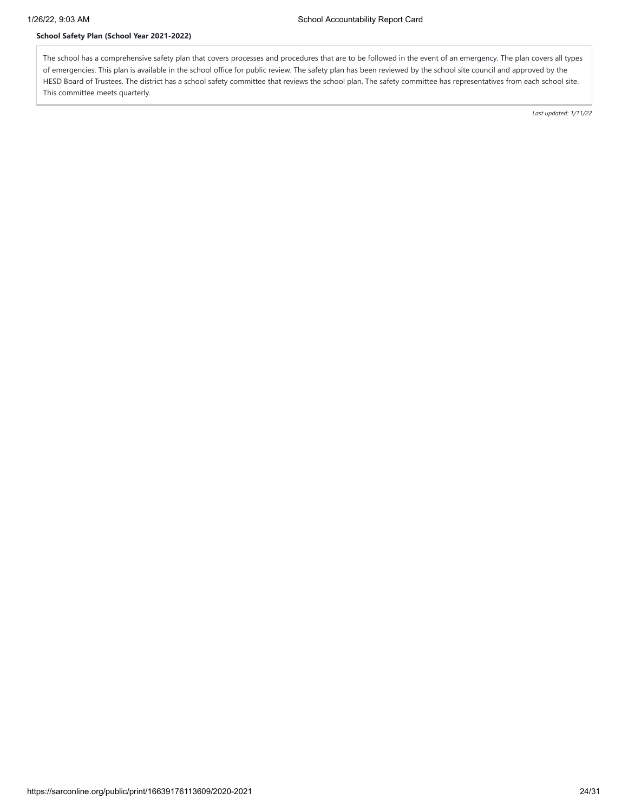# **School Safety Plan (School Year 2021-2022)**

The school has a comprehensive safety plan that covers processes and procedures that are to be followed in the event of an emergency. The plan covers all types of emergencies. This plan is available in the school office for public review. The safety plan has been reviewed by the school site council and approved by the HESD Board of Trustees. The district has a school safety committee that reviews the school plan. The safety committee has representatives from each school site. This committee meets quarterly.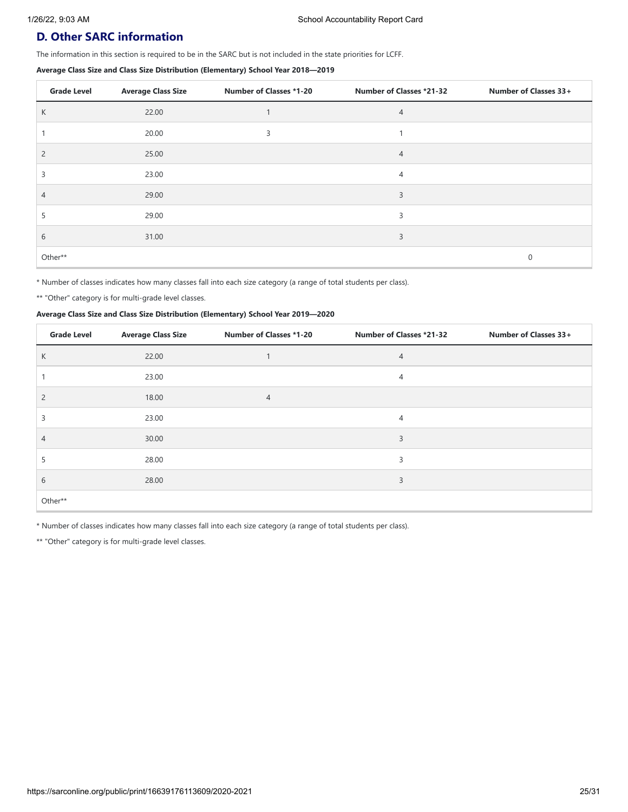# **D. Other SARC information**

The information in this section is required to be in the SARC but is not included in the state priorities for LCFF.

#### **Average Class Size and Class Size Distribution (Elementary) School Year 2018—2019**

| <b>Grade Level</b> | <b>Average Class Size</b> | <b>Number of Classes *1-20</b> | <b>Number of Classes *21-32</b> | Number of Classes 33+ |
|--------------------|---------------------------|--------------------------------|---------------------------------|-----------------------|
| К                  | 22.00                     |                                | 4                               |                       |
|                    | 20.00                     | 3                              |                                 |                       |
| $\overline{2}$     | 25.00                     |                                | $\overline{4}$                  |                       |
| 3                  | 23.00                     |                                | $\overline{4}$                  |                       |
| 4                  | 29.00                     |                                | 3                               |                       |
|                    | 29.00                     |                                | 3                               |                       |
| 6                  | 31.00                     |                                | 3                               |                       |
| Other**            |                           |                                |                                 | 0                     |

\* Number of classes indicates how many classes fall into each size category (a range of total students per class).

\*\* "Other" category is for multi-grade level classes.

#### **Average Class Size and Class Size Distribution (Elementary) School Year 2019—2020**

| <b>Grade Level</b> | <b>Average Class Size</b> | <b>Number of Classes *1-20</b> | Number of Classes *21-32 | Number of Classes 33+ |
|--------------------|---------------------------|--------------------------------|--------------------------|-----------------------|
| К                  | 22.00                     |                                | 4                        |                       |
|                    | 23.00                     |                                | 4                        |                       |
| 2                  | 18.00                     | $\overline{4}$                 |                          |                       |
| 3                  | 23.00                     |                                | 4                        |                       |
| 4                  | 30.00                     |                                | 3                        |                       |
| 5                  | 28.00                     |                                | 3                        |                       |
| 6                  | 28.00                     |                                | 3                        |                       |
| Other**            |                           |                                |                          |                       |

\* Number of classes indicates how many classes fall into each size category (a range of total students per class).

\*\* "Other" category is for multi-grade level classes.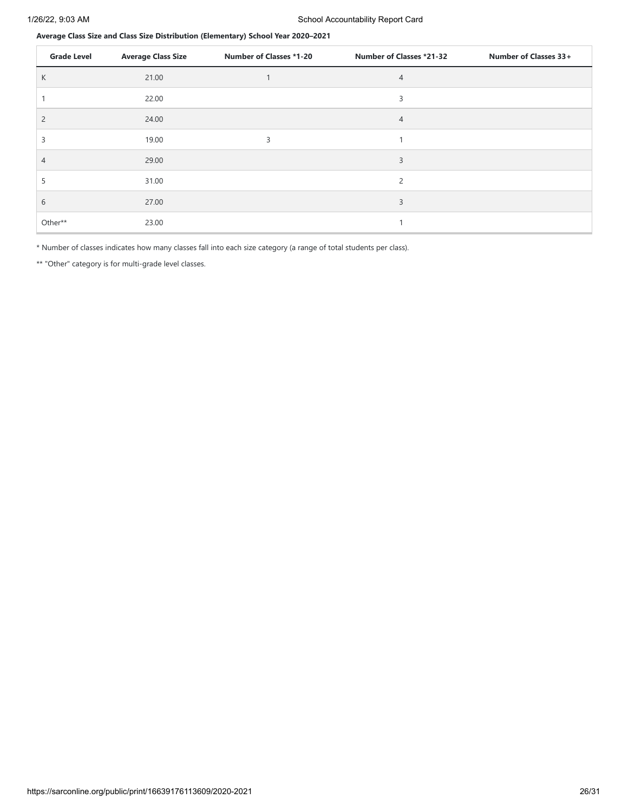**Average Class Size and Class Size Distribution (Elementary) School Year 2020–2021**

| <b>Grade Level</b> | <b>Average Class Size</b> | <b>Number of Classes *1-20</b> | Number of Classes *21-32 | Number of Classes 33+ |
|--------------------|---------------------------|--------------------------------|--------------------------|-----------------------|
| K                  | 21.00                     |                                | 4                        |                       |
|                    | 22.00                     |                                | 3                        |                       |
| $\overline{2}$     | 24.00                     |                                | $\overline{4}$           |                       |
| 3                  | 19.00                     | 3                              |                          |                       |
| 4                  | 29.00                     |                                | 3                        |                       |
| 5                  | 31.00                     |                                | $\overline{c}$           |                       |
| 6                  | 27.00                     |                                | 3                        |                       |
| Other**            | 23.00                     |                                |                          |                       |

\* Number of classes indicates how many classes fall into each size category (a range of total students per class).

\*\* "Other" category is for multi-grade level classes.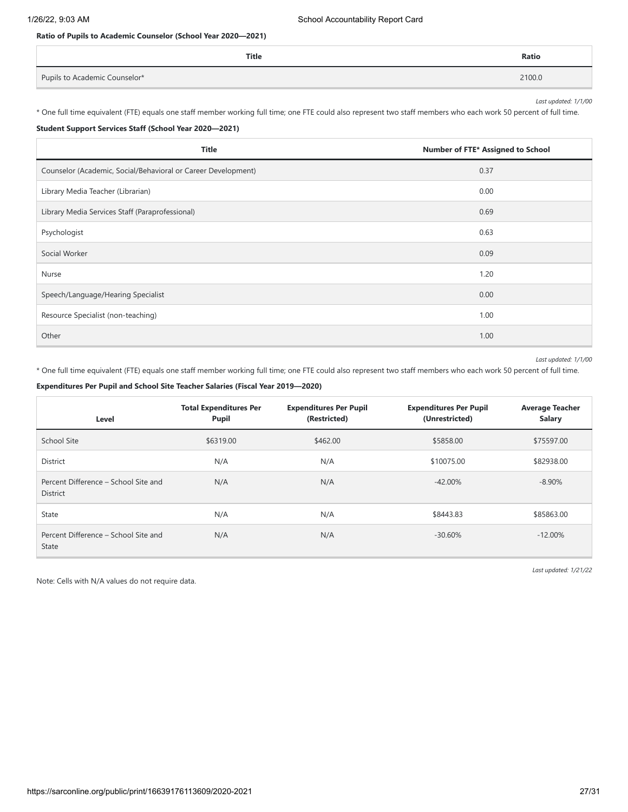# **Ratio of Pupils to Academic Counselor (School Year 2020—2021)**

| Title                         | <b>Ratio</b> |
|-------------------------------|--------------|
| Pupils to Academic Counselor* | 2100.0       |

*Last updated: 1/1/00*

\* One full time equivalent (FTE) equals one staff member working full time; one FTE could also represent two staff members who each work 50 percent of full time.

## **Student Support Services Staff (School Year 2020—2021)**

| <b>Title</b>                                                  | Number of FTE* Assigned to School |
|---------------------------------------------------------------|-----------------------------------|
| Counselor (Academic, Social/Behavioral or Career Development) | 0.37                              |
| Library Media Teacher (Librarian)                             | 0.00                              |
| Library Media Services Staff (Paraprofessional)               | 0.69                              |
| Psychologist                                                  | 0.63                              |
| Social Worker                                                 | 0.09                              |
| Nurse                                                         | 1.20                              |
| Speech/Language/Hearing Specialist                            | 0.00                              |
| Resource Specialist (non-teaching)                            | 1.00                              |
| Other                                                         | 1.00                              |

#### *Last updated: 1/1/00*

\* One full time equivalent (FTE) equals one staff member working full time; one FTE could also represent two staff members who each work 50 percent of full time.

#### **Expenditures Per Pupil and School Site Teacher Salaries (Fiscal Year 2019—2020)**

| Level                                                   | <b>Total Expenditures Per</b><br><b>Pupil</b> | <b>Expenditures Per Pupil</b><br>(Restricted) | <b>Expenditures Per Pupil</b><br>(Unrestricted) | <b>Average Teacher</b><br><b>Salary</b> |
|---------------------------------------------------------|-----------------------------------------------|-----------------------------------------------|-------------------------------------------------|-----------------------------------------|
| School Site                                             | \$6319.00                                     | \$462.00                                      | \$5858.00                                       | \$75597.00                              |
| <b>District</b>                                         | N/A                                           | N/A                                           | \$10075.00                                      | \$82938.00                              |
| Percent Difference – School Site and<br><b>District</b> | N/A                                           | N/A                                           | $-42.00\%$                                      | $-8.90\%$                               |
| State                                                   | N/A                                           | N/A                                           | \$8443.83                                       | \$85863.00                              |
| Percent Difference - School Site and<br><b>State</b>    | N/A                                           | N/A                                           | $-30.60\%$                                      | $-12.00\%$                              |

Note: Cells with N/A values do not require data.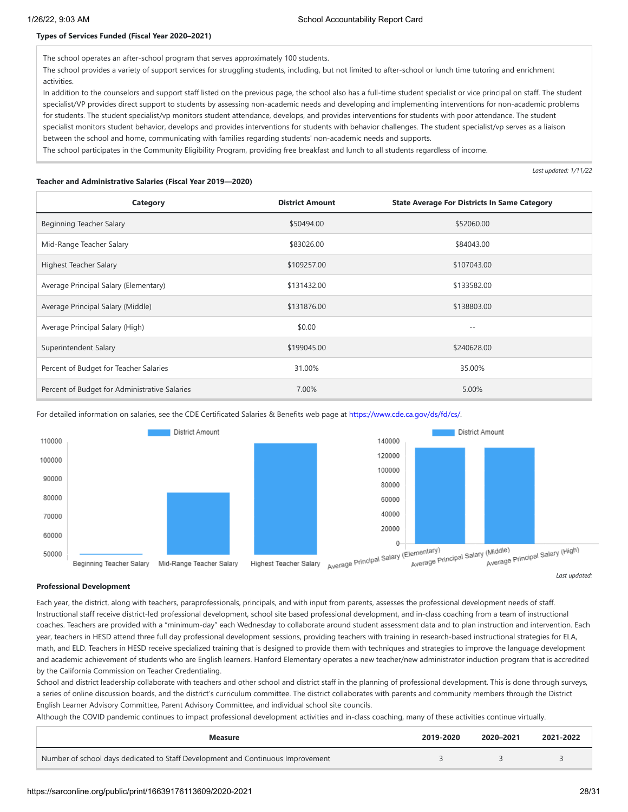## **Types of Services Funded (Fiscal Year 2020–2021)**

The school operates an after-school program that serves approximately 100 students.

The school provides a variety of support services for struggling students, including, but not limited to after-school or lunch time tutoring and enrichment activities.

In addition to the counselors and support staff listed on the previous page, the school also has a full-time student specialist or vice principal on staff. The student specialist/VP provides direct support to students by assessing non-academic needs and developing and implementing interventions for non-academic problems for students. The student specialist/vp monitors student attendance, develops, and provides interventions for students with poor attendance. The student specialist monitors student behavior, develops and provides interventions for students with behavior challenges. The student specialist/vp serves as a liaison between the school and home, communicating with families regarding students' non-academic needs and supports.

The school participates in the Community Eligibility Program, providing free breakfast and lunch to all students regardless of income.

#### **Teacher and Administrative Salaries (Fiscal Year 2019—2020)**

*Last updated: 1/11/22*

| Category                                      | <b>District Amount</b> | <b>State Average For Districts In Same Category</b> |
|-----------------------------------------------|------------------------|-----------------------------------------------------|
| Beginning Teacher Salary                      | \$50494.00             | \$52060.00                                          |
| Mid-Range Teacher Salary                      | \$83026.00             | \$84043.00                                          |
| Highest Teacher Salary                        | \$109257.00            | \$107043.00                                         |
| Average Principal Salary (Elementary)         | \$131432.00            | \$133582.00                                         |
| Average Principal Salary (Middle)             | \$131876.00            | \$138803.00                                         |
| Average Principal Salary (High)               | \$0.00                 | $- -$                                               |
| Superintendent Salary                         | \$199045.00            | \$240628.00                                         |
| Percent of Budget for Teacher Salaries        | 31.00%                 | 35.00%                                              |
| Percent of Budget for Administrative Salaries | 7.00%                  | 5.00%                                               |





#### **Professional Development**

Each year, the district, along with teachers, paraprofessionals, principals, and with input from parents, assesses the professional development needs of staff. Instructional staff receive district-led professional development, school site based professional development, and in-class coaching from a team of instructional coaches. Teachers are provided with a "minimum-day" each Wednesday to collaborate around student assessment data and to plan instruction and intervention. Each year, teachers in HESD attend three full day professional development sessions, providing teachers with training in research-based instructional strategies for ELA, math, and ELD. Teachers in HESD receive specialized training that is designed to provide them with techniques and strategies to improve the language development and academic achievement of students who are English learners. Hanford Elementary operates a new teacher/new administrator induction program that is accredited by the California Commission on Teacher Credentialing.

School and district leadership collaborate with teachers and other school and district staff in the planning of professional development. This is done through surveys, a series of online discussion boards, and the district's curriculum committee. The district collaborates with parents and community members through the District English Learner Advisory Committee, Parent Advisory Committee, and individual school site councils.

Although the COVID pandemic continues to impact professional development activities and in-class coaching, many of these activities continue virtually.

| Measure                                                                         | 2019-2020 | 2020-2021 | 2021-2022 |
|---------------------------------------------------------------------------------|-----------|-----------|-----------|
| Number of school days dedicated to Staff Development and Continuous Improvement |           |           |           |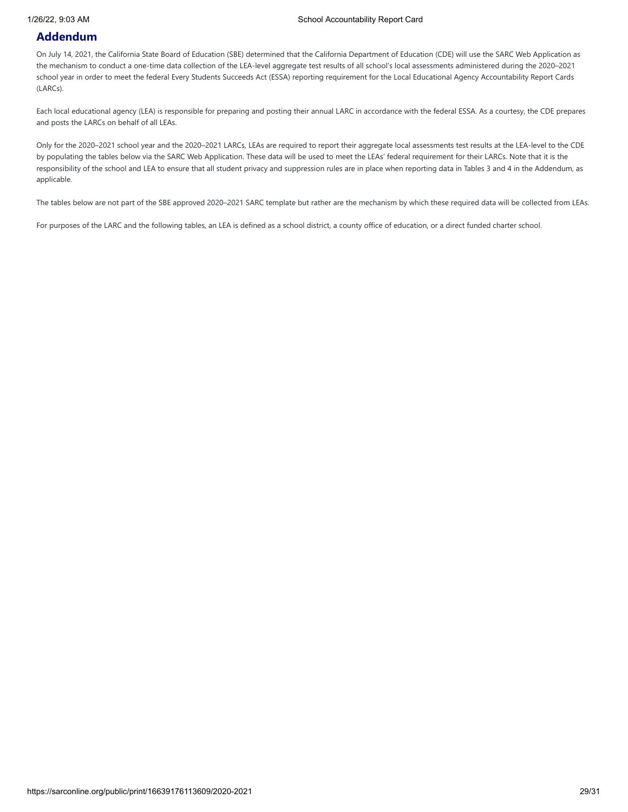# **Addendum**

On July 14, 2021, the California State Board of Education (SBE) determined that the California Department of Education (CDE) will use the SARC Web Application as the mechanism to conduct a one-time data collection of the LEA-level aggregate test results of all school's local assessments administered during the 2020–2021 school year in order to meet the federal Every Students Succeeds Act (ESSA) reporting requirement for the Local Educational Agency Accountability Report Cards (LARCs).

Each local educational agency (LEA) is responsible for preparing and posting their annual LARC in accordance with the federal ESSA. As a courtesy, the CDE prepares and posts the LARCs on behalf of all LEAs.

Only for the 2020–2021 school year and the 2020–2021 LARCs, LEAs are required to report their aggregate local assessments test results at the LEA-level to the CDE by populating the tables below via the SARC Web Application. These data will be used to meet the LEAs' federal requirement for their LARCs. Note that it is the responsibility of the school and LEA to ensure that all student privacy and suppression rules are in place when reporting data in Tables 3 and 4 in the Addendum, as applicable.

The tables below are not part of the SBE approved 2020–2021 SARC template but rather are the mechanism by which these required data will be collected from LEAs.

For purposes of the LARC and the following tables, an LEA is defined as a school district, a county office of education, or a direct funded charter school.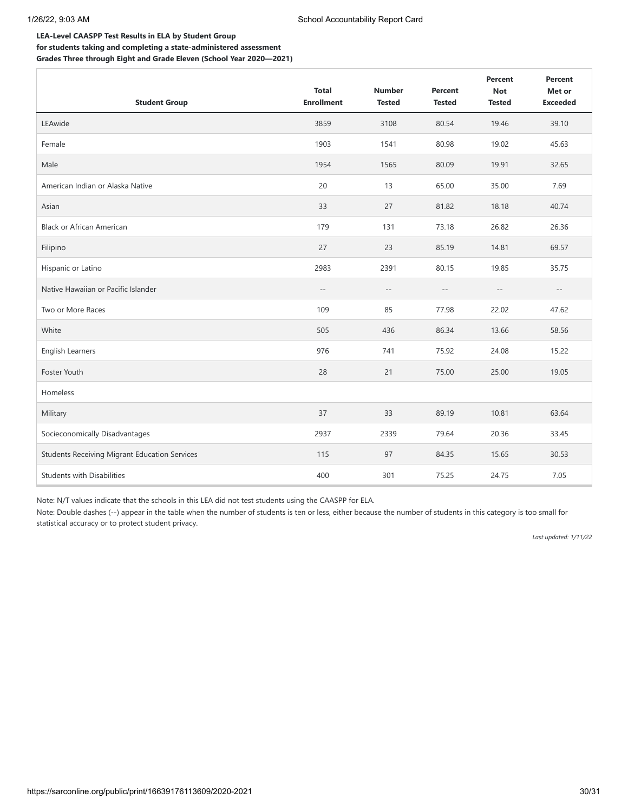## **LEA-Level CAASPP Test Results in ELA by Student Group for students taking and completing a state-administered assessment**

**Grades Three through Eight and Grade Eleven (School Year 2020—2021)**

| <b>Student Group</b>                                 | <b>Total</b><br><b>Enrollment</b> | <b>Number</b><br><b>Tested</b> | <b>Percent</b><br><b>Tested</b> | Percent<br><b>Not</b><br><b>Tested</b> | <b>Percent</b><br>Met or<br><b>Exceeded</b> |
|------------------------------------------------------|-----------------------------------|--------------------------------|---------------------------------|----------------------------------------|---------------------------------------------|
| LEAwide                                              | 3859                              | 3108                           | 80.54                           | 19.46                                  | 39.10                                       |
| Female                                               | 1903                              | 1541                           | 80.98                           | 19.02                                  | 45.63                                       |
| Male                                                 | 1954                              | 1565                           | 80.09                           | 19.91                                  | 32.65                                       |
| American Indian or Alaska Native                     | 20                                | 13                             | 65.00                           | 35.00                                  | 7.69                                        |
| Asian                                                | 33                                | 27                             | 81.82                           | 18.18                                  | 40.74                                       |
| <b>Black or African American</b>                     | 179                               | 131                            | 73.18                           | 26.82                                  | 26.36                                       |
| Filipino                                             | 27                                | 23                             | 85.19                           | 14.81                                  | 69.57                                       |
| Hispanic or Latino                                   | 2983                              | 2391                           | 80.15                           | 19.85                                  | 35.75                                       |
| Native Hawaiian or Pacific Islander                  | $\qquad \qquad -$                 | $-\,-$                         | $-\,-$                          | $\overline{\phantom{m}}$               | $- -$                                       |
| Two or More Races                                    | 109                               | 85                             | 77.98                           | 22.02                                  | 47.62                                       |
| White                                                | 505                               | 436                            | 86.34                           | 13.66                                  | 58.56                                       |
| English Learners                                     | 976                               | 741                            | 75.92                           | 24.08                                  | 15.22                                       |
| Foster Youth                                         | 28                                | 21                             | 75.00                           | 25.00                                  | 19.05                                       |
| Homeless                                             |                                   |                                |                                 |                                        |                                             |
| Military                                             | 37                                | 33                             | 89.19                           | 10.81                                  | 63.64                                       |
| Socieconomically Disadvantages                       | 2937                              | 2339                           | 79.64                           | 20.36                                  | 33.45                                       |
| <b>Students Receiving Migrant Education Services</b> | 115                               | 97                             | 84.35                           | 15.65                                  | 30.53                                       |
| <b>Students with Disabilities</b>                    | 400                               | 301                            | 75.25                           | 24.75                                  | 7.05                                        |

Note: N/T values indicate that the schools in this LEA did not test students using the CAASPP for ELA.

Note: Double dashes (--) appear in the table when the number of students is ten or less, either because the number of students in this category is too small for statistical accuracy or to protect student privacy.